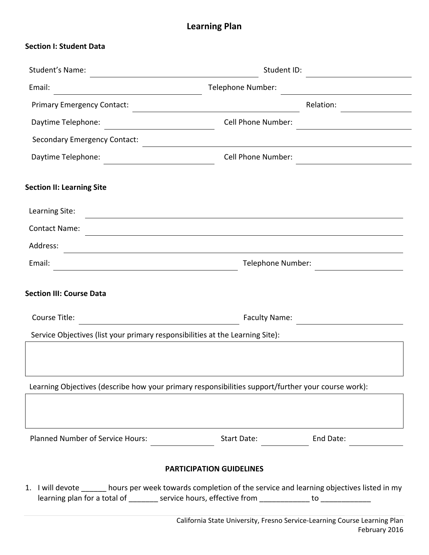## **Learning Plan**

| Student's Name:                                                                                    | Student ID:                                                                                                   |           |  |
|----------------------------------------------------------------------------------------------------|---------------------------------------------------------------------------------------------------------------|-----------|--|
| Email:<br><u> 1980 - Jan Samuel Barbara, martin di</u>                                             | Telephone Number:                                                                                             |           |  |
| <b>Primary Emergency Contact:</b>                                                                  |                                                                                                               | Relation: |  |
| Daytime Telephone:                                                                                 | Cell Phone Number:                                                                                            |           |  |
| <b>Secondary Emergency Contact:</b>                                                                |                                                                                                               |           |  |
| Daytime Telephone:<br><u> 1989 - Andrea State Barbara, martin a</u>                                | Cell Phone Number:                                                                                            |           |  |
| <b>Section II: Learning Site</b>                                                                   |                                                                                                               |           |  |
| Learning Site:                                                                                     |                                                                                                               |           |  |
| <b>Contact Name:</b>                                                                               |                                                                                                               |           |  |
| Address:                                                                                           |                                                                                                               |           |  |
| Email:<br><u> 1980 - Johann Barbara, martin a</u>                                                  | Telephone Number:                                                                                             |           |  |
| <b>Section III: Course Data</b><br>Course Title:                                                   | <b>Faculty Name:</b>                                                                                          |           |  |
| Service Objectives (list your primary responsibilities at the Learning Site):                      |                                                                                                               |           |  |
| Learning Objectives (describe how your primary responsibilities support/further your course work): |                                                                                                               |           |  |
| Planned Number of Service Hours:                                                                   |                                                                                                               |           |  |
|                                                                                                    | <b>PARTICIPATION GUIDELINES</b>                                                                               |           |  |
|                                                                                                    | 1. I will devote ______ hours per week towards completion of the service and learning objectives listed in my |           |  |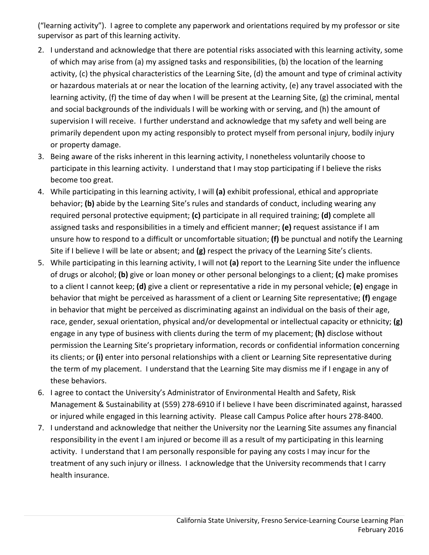("learning activity"). I agree to complete any paperwork and orientations required by my professor or site supervisor as part of this learning activity.

- 2. I understand and acknowledge that there are potential risks associated with this learning activity, some of which may arise from (a) my assigned tasks and responsibilities, (b) the location of the learning activity, (c) the physical characteristics of the Learning Site, (d) the amount and type of criminal activity or hazardous materials at or near the location of the learning activity, (e) any travel associated with the learning activity, (f) the time of day when I will be present at the Learning Site, (g) the criminal, mental and social backgrounds of the individuals I will be working with or serving, and (h) the amount of supervision I will receive. I further understand and acknowledge that my safety and well being are primarily dependent upon my acting responsibly to protect myself from personal injury, bodily injury or property damage.
- 3. Being aware of the risks inherent in this learning activity, I nonetheless voluntarily choose to participate in this learning activity. I understand that I may stop participating if I believe the risks become too great.
- 4. While participating in this learning activity, I will **(a)** exhibit professional, ethical and appropriate behavior; **(b)** abide by the Learning Site's rules and standards of conduct, including wearing any required personal protective equipment; **(c)** participate in all required training; **(d)** complete all assigned tasks and responsibilities in a timely and efficient manner; **(e)** request assistance if I am unsure how to respond to a difficult or uncomfortable situation; **(f)** be punctual and notify the Learning Site if I believe I will be late or absent; and **(g)** respect the privacy of the Learning Site's clients.
- 5. While participating in this learning activity, I will not **(a)** report to the Learning Site under the influence of drugs or alcohol; **(b)** give or loan money or other personal belongings to a client; **(c)** make promises to a client I cannot keep; **(d)** give a client or representative a ride in my personal vehicle; **(e)** engage in behavior that might be perceived as harassment of a client or Learning Site representative; **(f)** engage in behavior that might be perceived as discriminating against an individual on the basis of their age, race, gender, sexual orientation, physical and/or developmental or intellectual capacity or ethnicity; **(g)** engage in any type of business with clients during the term of my placement; **(h)** disclose without permission the Learning Site's proprietary information, records or confidential information concerning its clients; or **(i)** enter into personal relationships with a client or Learning Site representative during the term of my placement. I understand that the Learning Site may dismiss me if I engage in any of these behaviors.
- 6. I agree to contact the University's Administrator of Environmental Health and Safety, Risk Management & Sustainability at (559) 278‐6910 if I believe I have been discriminated against, harassed or injured while engaged in this learning activity. Please call Campus Police after hours 278‐8400.
- 7. I understand and acknowledge that neither the University nor the Learning Site assumes any financial responsibility in the event I am injured or become ill as a result of my participating in this learning activity. I understand that I am personally responsible for paying any costs I may incur for the treatment of any such injury or illness. I acknowledge that the University recommends that I carry health insurance.